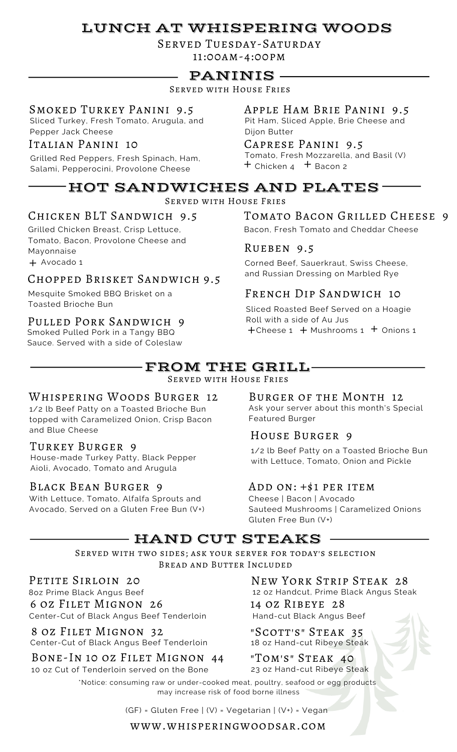# LUNCH AT WHISPERING WOODS

Served Tuesday-Saturday 11:00am-4:00pm

## PANINIS

Served with House Fries

#### Smoked Turkey Panini 9.5

Sliced Turkey, Fresh Tomato, Arugula, and Pepper Jack Cheese

#### Italian Panini 10

Grilled Red Peppers, Fresh Spinach, Ham, Salami, Pepperocini, Provolone Cheese +

## Apple Ham Brie Panini 9.5

Pit Ham, Sliced Apple, Brie Cheese and Dijon Butter

#### Caprese Panini 9.5

Tomato, Fresh Mozzarella, and Basil (V)  $+$  Chicken 4  $+$  Bacon 2

#### HOT SANDWICHES AND PLATES Served with House Fries

## Chicken BLT Sandwich 9.5

Grilled Chicken Breast, Crisp Lettuce, Tomato, Bacon, Provolone Cheese and Mayonnaise

+ Avocado 1

#### Chopped Brisket Sandwich 9.5

Mesquite Smoked BBQ Brisket on a Toasted Brioche Bun

#### Pulled Pork Sandwich 9

Smoked Pulled Pork in a Tangy BBQ Sauce. Served with a side of Coleslaw

### TOMATO BACON GRILLED CHEESE 9

Bacon, Fresh Tomato and Cheddar Cheese

#### Rueben 9.5

Corned Beef, Sauerkraut, Swiss Cheese, and Russian Dressing on Marbled Rye

#### French Dip Sandwich 10

Sliced Roasted Beef Served on a Hoagie Roll with a side of Au Jus  $+$ Cheese 1  $+$  Mushrooms 1  $+$  Onions 1

## FROM THE GRILL

Served with House Fries

#### Whispering Woods Burger 12

1/2 lb Beef Patty on a Toasted Brioche Bun topped with Caramelized Onion, Crisp Bacon and Blue Cheese

#### Turkey Burger 9

House-made Turkey Patty, Black Pepper Aioli, Avocado, Tomato and Arugula

#### Black Bean Burger 9

With Lettuce, Tomato, Alfalfa Sprouts and Avocado, Served on a Gluten Free Bun (V+)

#### Burger of the Month 12

Ask your server about this month's Special Featured Burger

#### House Burger 9

1/2 lb Beef Patty on a Toasted Brioche Bun with Lettuce, Tomato, Onion and Pickle

#### Add on: +\$1 per item

Cheese | Bacon | Avocado Sauteed Mushrooms | Caramelized Onions Gluten Free Bun (V+)

## HAND CUT STEAKS

Served with two sides; ask your server for today's selection Bread and Butter Included

PETITE SIRLOIN 20

8oz Prime Black Angus Beef 6 oz Filet Mignon 26 Center-Cut of Black Angus Beef Tenderloin

8 oz Filet Mignon 32 Center-Cut of Black Angus Beef Tenderloin

Bone-In 10 oz Filet Mignon 44 10 oz Cut of Tenderloin served on the Bone

14 oz Ribeye 28 Hand-cut Black Angus Beef New York Strip Steak 28 12 oz Handcut, Prime Black Angus Steak

"Scott's" Steak 35 18 oz Hand-cut Ribeye Steak

"Tom's" Steak 40 23 oz Hand-cut Ribeye Steak

\*Notice: consuming raw or under-cooked meat, poultry, seafood or egg products may increase risk of food borne illness

(GF) = Gluten Free | (V) = Vegetarian | (V+) = Vegan

www.whisperingwoodsar.com